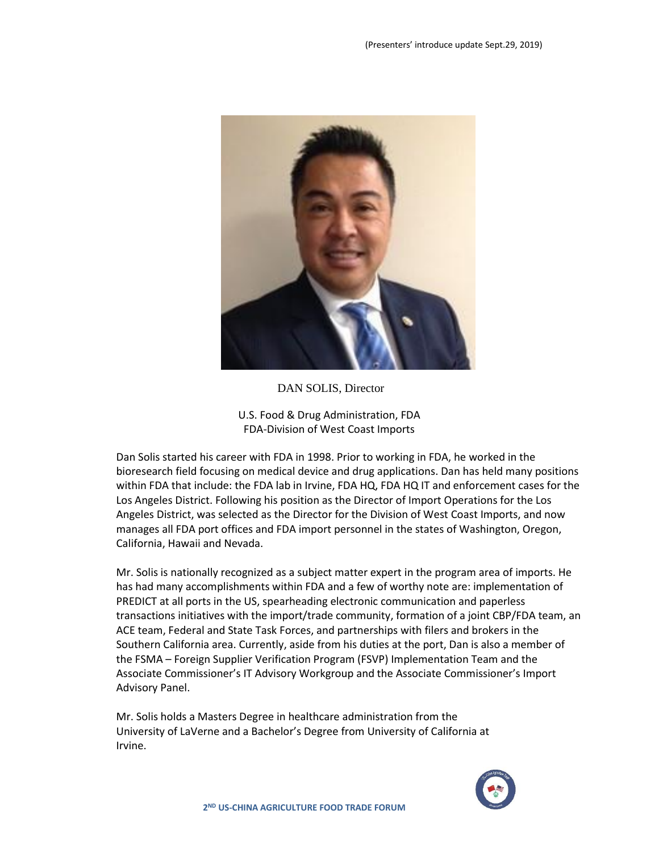

DAN SOLIS, Director

U.S. Food & Drug Administration, FDA FDA-Division of West Coast Imports

Dan Solis started his career with FDA in 1998. Prior to working in FDA, he worked in the bioresearch field focusing on medical device and drug applications. Dan has held many positions within FDA that include: the FDA lab in Irvine, FDA HQ, FDA HQ IT and enforcement cases for the Los Angeles District. Following his position as the Director of Import Operations for the Los Angeles District, was selected as the Director for the Division of West Coast Imports, and now manages all FDA port offices and FDA import personnel in the states of Washington, Oregon, California, Hawaii and Nevada.

Mr. Solis is nationally recognized as a subject matter expert in the program area of imports. He has had many accomplishments within FDA and a few of worthy note are: implementation of PREDICT at all ports in the US, spearheading electronic communication and paperless transactions initiatives with the import/trade community, formation of a joint CBP/FDA team, an ACE team, Federal and State Task Forces, and partnerships with filers and brokers in the Southern California area. Currently, aside from his duties at the port, Dan is also a member of the FSMA – Foreign Supplier Verification Program (FSVP) Implementation Team and the Associate Commissioner's IT Advisory Workgroup and the Associate Commissioner's Import Advisory Panel.

Mr. Solis holds a Masters Degree in healthcare administration from the University of LaVerne and a Bachelor's Degree from University of California at Irvine.

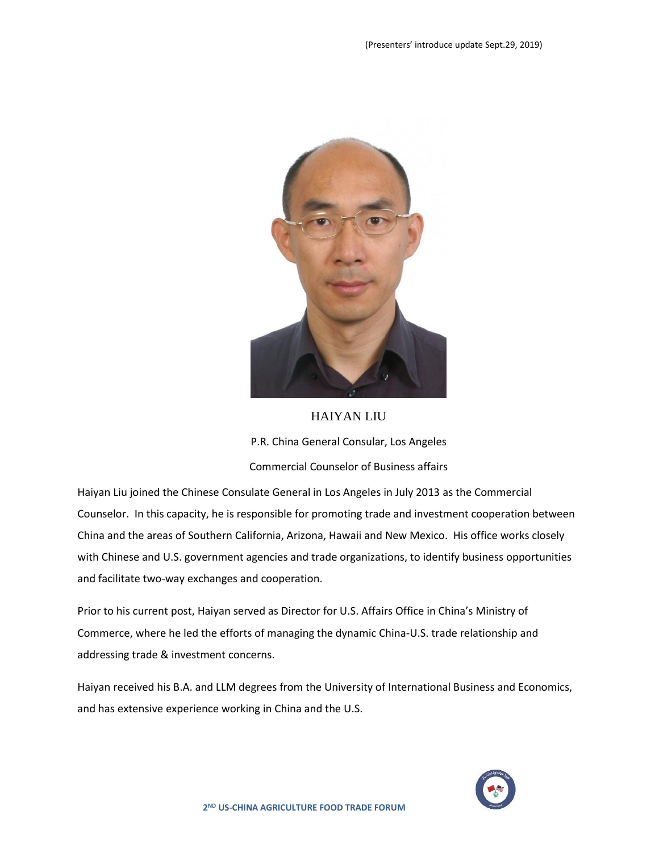

### HAIYAN LIU

P.R. China General Consular, Los Angeles

Commercial Counselor of Business affairs

Haiyan Liu joined the Chinese Consulate General in Los Angeles in July 2013 as the Commercial Counselor. In this capacity, he is responsible for promoting trade and investment cooperation between China and the areas of Southern California, Arizona, Hawaii and New Mexico. His office works closely with Chinese and U.S. government agencies and trade organizations, to identify business opportunities and facilitate two-way exchanges and cooperation.

Prior to his current post, Haiyan served as Director for U.S. Affairs Office in China's Ministry of Commerce, where he led the efforts of managing the dynamic China-U.S. trade relationship and addressing trade & investment concerns.

Haiyan received his B.A. and LLM degrees from the University of International Business and Economics, and has extensive experience working in China and the U.S.

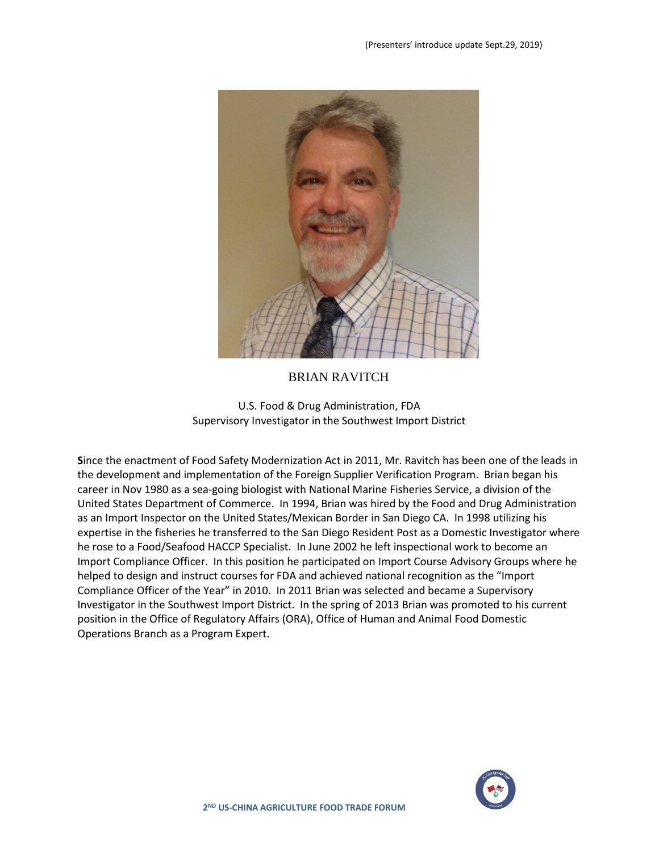

## BRIAN RAVITCH

U.S. Food & Drug Administration, FDA Supervisory Investigator in the Southwest Import District

**S**ince the enactment of Food Safety Modernization Act in 2011, Mr. Ravitch has been one of the leads in the development and implementation of the Foreign Supplier Verification Program. Brian began his career in Nov 1980 as a sea-going biologist with National Marine Fisheries Service, a division of the United States Department of Commerce. In 1994, Brian was hired by the Food and Drug Administration as an Import Inspector on the United States/Mexican Border in San Diego CA. In 1998 utilizing his expertise in the fisheries he transferred to the San Diego Resident Post as a Domestic Investigator where he rose to a Food/Seafood HACCP Specialist. In June 2002 he left inspectional work to become an Import Compliance Officer. In this position he participated on Import Course Advisory Groups where he helped to design and instruct courses for FDA and achieved national recognition as the "Import Compliance Officer of the Year" in 2010. In 2011 Brian was selected and became a Supervisory Investigator in the Southwest Import District. In the spring of 2013 Brian was promoted to his current position in the Office of Regulatory Affairs (ORA), Office of Human and Animal Food Domestic Operations Branch as a Program Expert.

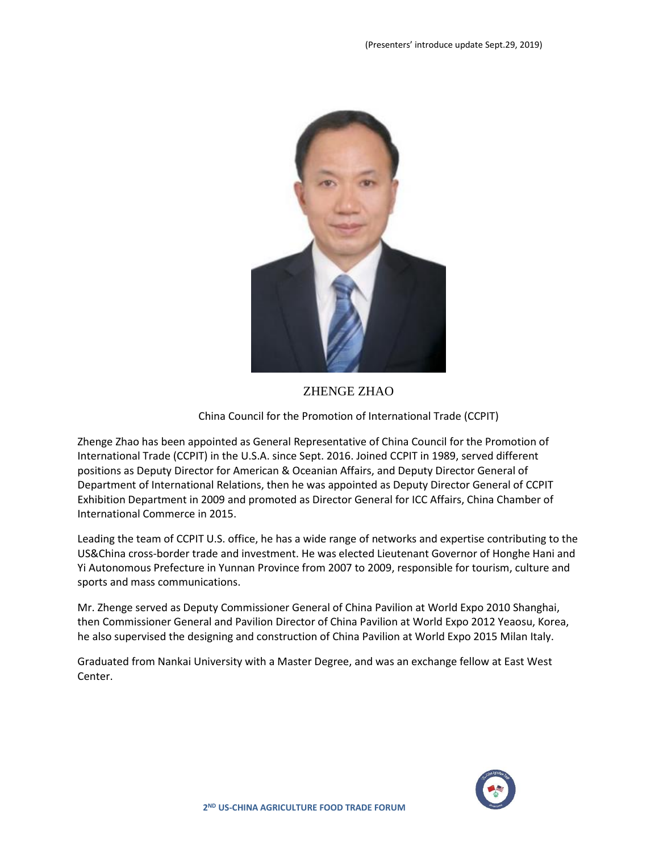

## ZHENGE ZHAO

### China Council for the Promotion of International Trade (CCPIT)

Zhenge Zhao has been appointed as General Representative of China Council for the Promotion of International Trade (CCPIT) in the U.S.A. since Sept. 2016. Joined CCPIT in 1989, served different positions as Deputy Director for American & Oceanian Affairs, and Deputy Director General of Department of International Relations, then he was appointed as Deputy Director General of CCPIT Exhibition Department in 2009 and promoted as Director General for ICC Affairs, China Chamber of International Commerce in 2015.

Leading the team of CCPIT U.S. office, he has a wide range of networks and expertise contributing to the US&China cross-border trade and investment. He was elected Lieutenant Governor of Honghe Hani and Yi Autonomous Prefecture in Yunnan Province from 2007 to 2009, responsible for tourism, culture and sports and mass communications.

Mr. Zhenge served as Deputy Commissioner General of China Pavilion at World Expo 2010 Shanghai, then Commissioner General and Pavilion Director of China Pavilion at World Expo 2012 Yeaosu, Korea, he also supervised the designing and construction of China Pavilion at World Expo 2015 Milan Italy.

Graduated from Nankai University with a Master Degree, and was an exchange fellow at East West Center.

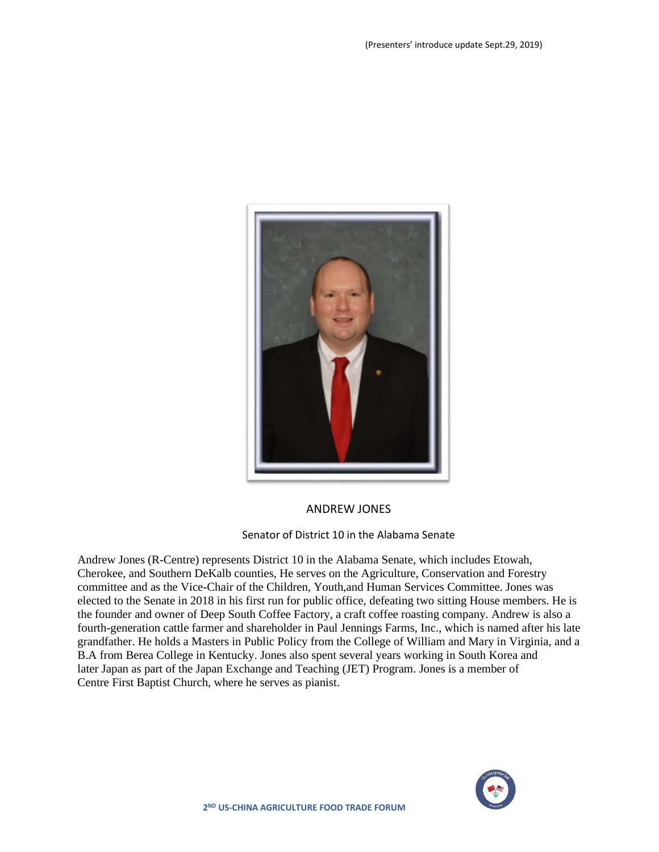

## ANDREW JONES

#### Senator of District 10 in the Alabama Senate

Andrew Jones (R-Centre) represents District 10 in the Alabama Senate, which includes Etowah, Cherokee, and Southern DeKalb counties, He serves on the Agriculture, Conservation and Forestry committee and as the Vice-Chair of the Children, Youth,and Human Services Committee. Jones was elected to the Senate in 2018 in his first run for public office, defeating two sitting House members. He is the founder and owner of Deep South Coffee Factory, a craft coffee roasting company. Andrew is also a fourth-generation cattle farmer and shareholder in Paul Jennings Farms, Inc., which is named after his late grandfather. He holds a Masters in Public Policy from the College of William and Mary in Virginia, and a B.A from Berea College in Kentucky. Jones also spent several years working in South Korea and later Japan as part of the Japan Exchange and Teaching (JET) Program. Jones is a member of Centre First Baptist Church, where he serves as pianist.

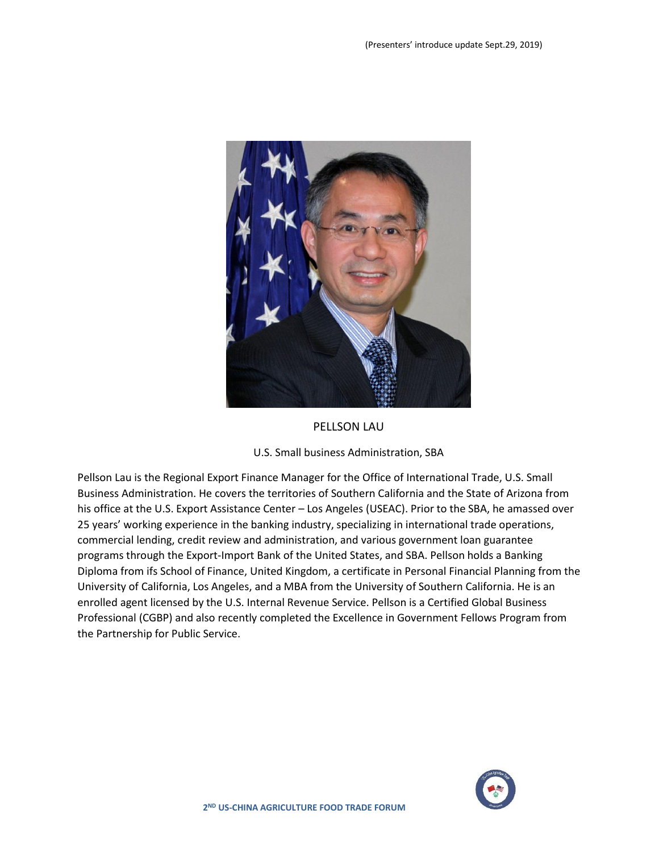

#### PELLSON LAU

#### U.S. Small business Administration, SBA

Pellson Lau is the Regional Export Finance Manager for the Office of International Trade, U.S. Small Business Administration. He covers the territories of Southern California and the State of Arizona from his office at the U.S. Export Assistance Center – Los Angeles (USEAC). Prior to the SBA, he amassed over 25 years' working experience in the banking industry, specializing in international trade operations, commercial lending, credit review and administration, and various government loan guarantee programs through the Export-Import Bank of the United States, and SBA. Pellson holds a Banking Diploma from ifs School of Finance, United Kingdom, a certificate in Personal Financial Planning from the University of California, Los Angeles, and a MBA from the University of Southern California. He is an enrolled agent licensed by the U.S. Internal Revenue Service. Pellson is a Certified Global Business Professional (CGBP) and also recently completed the Excellence in Government Fellows Program from the Partnership for Public Service.

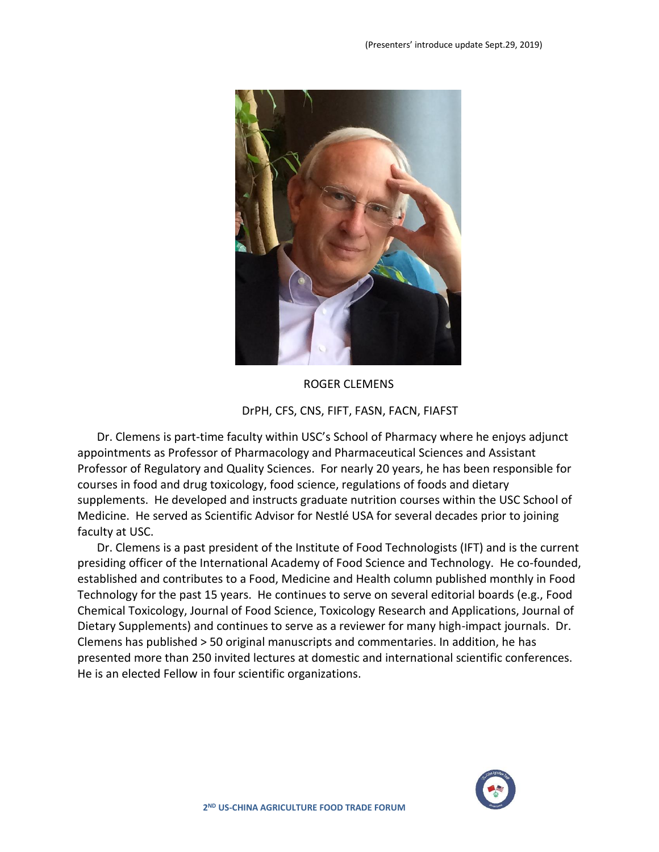

ROGER CLEMENS

## DrPH, CFS, CNS, FIFT, FASN, FACN, FIAFST

Dr. Clemens is part-time faculty within USC's School of Pharmacy where he enjoys adjunct appointments as Professor of Pharmacology and Pharmaceutical Sciences and Assistant Professor of Regulatory and Quality Sciences. For nearly 20 years, he has been responsible for courses in food and drug toxicology, food science, regulations of foods and dietary supplements. He developed and instructs graduate nutrition courses within the USC School of Medicine. He served as Scientific Advisor for Nestlé USA for several decades prior to joining faculty at USC.

Dr. Clemens is a past president of the Institute of Food Technologists (IFT) and is the current presiding officer of the International Academy of Food Science and Technology. He co-founded, established and contributes to a Food, Medicine and Health column published monthly in Food Technology for the past 15 years. He continues to serve on several editorial boards (e.g., Food Chemical Toxicology, Journal of Food Science, Toxicology Research and Applications, Journal of Dietary Supplements) and continues to serve as a reviewer for many high-impact journals. Dr. Clemens has published > 50 original manuscripts and commentaries. In addition, he has presented more than 250 invited lectures at domestic and international scientific conferences. He is an elected Fellow in four scientific organizations.

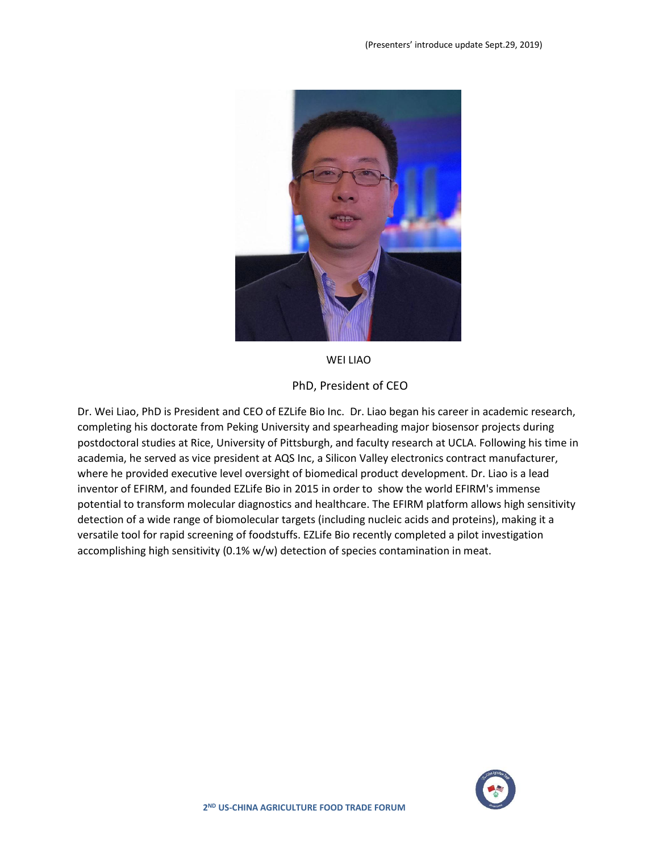

WEI LIAO

PhD, President of CEO

Dr. Wei Liao, PhD is President and CEO of EZLife Bio Inc. Dr. Liao began his career in academic research, completing his doctorate from Peking University and spearheading major biosensor projects during postdoctoral studies at Rice, University of Pittsburgh, and faculty research at UCLA. Following his time in academia, he served as vice president at AQS Inc, a Silicon Valley electronics contract manufacturer, where he provided executive level oversight of biomedical product development. Dr. Liao is a lead inventor of EFIRM, and founded EZLife Bio in 2015 in order to show the world EFIRM's immense potential to transform molecular diagnostics and healthcare. The EFIRM platform allows high sensitivity detection of a wide range of biomolecular targets (including nucleic acids and proteins), making it a versatile tool for rapid screening of foodstuffs. EZLife Bio recently completed a pilot investigation accomplishing high sensitivity (0.1% w/w) detection of species contamination in meat.

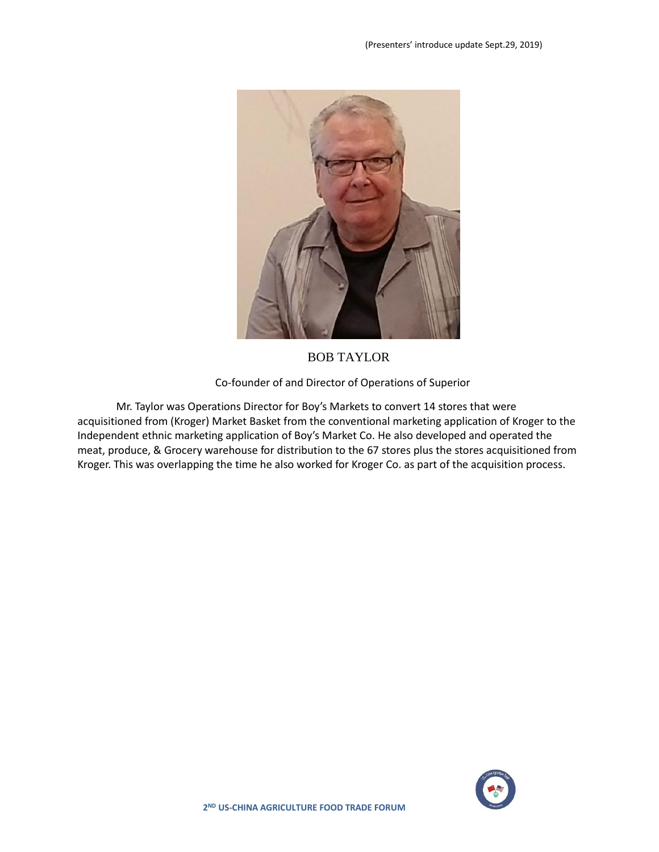

BOB TAYLOR

Co-founder of and Director of Operations of Superior

Mr. Taylor was Operations Director for Boy's Markets to convert 14 stores that were acquisitioned from (Kroger) Market Basket from the conventional marketing application of Kroger to the Independent ethnic marketing application of Boy's Market Co. He also developed and operated the meat, produce, & Grocery warehouse for distribution to the 67 stores plus the stores acquisitioned from Kroger. This was overlapping the time he also worked for Kroger Co. as part of the acquisition process.

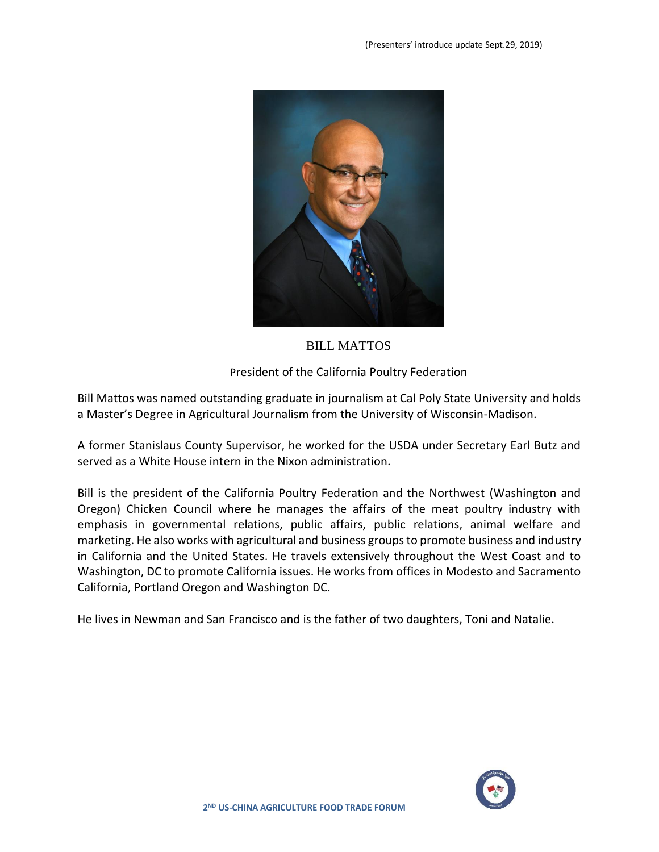

# BILL MATTOS

## President of the California Poultry Federation

Bill Mattos was named outstanding graduate in journalism at Cal Poly State University and holds a Master's Degree in Agricultural Journalism from the University of Wisconsin-Madison.

A former Stanislaus County Supervisor, he worked for the USDA under Secretary Earl Butz and served as a White House intern in the Nixon administration.

Bill is the president of the California Poultry Federation and the Northwest (Washington and Oregon) Chicken Council where he manages the affairs of the meat poultry industry with emphasis in governmental relations, public affairs, public relations, animal welfare and marketing. He also works with agricultural and business groups to promote business and industry in California and the United States. He travels extensively throughout the West Coast and to Washington, DC to promote California issues. He works from offices in Modesto and Sacramento California, Portland Oregon and Washington DC.

He lives in Newman and San Francisco and is the father of two daughters, Toni and Natalie.